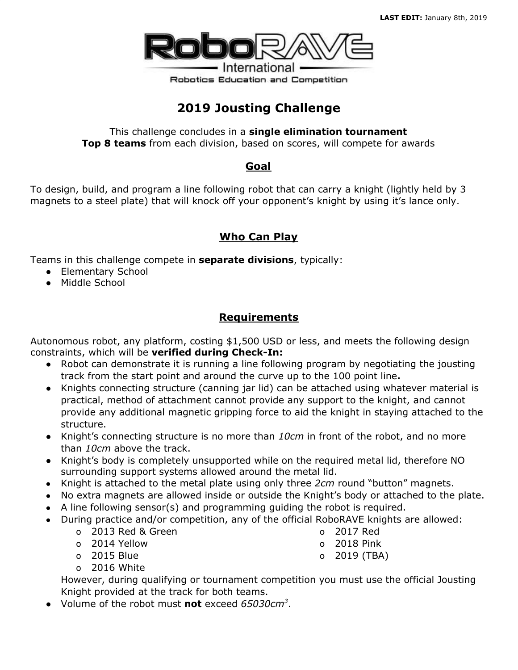

# **2019 Jousting Challenge**

This challenge concludes in a **single elimination tournament Top 8 teams** from each division, based on scores, will compete for awards

#### **Goal**

To design, build, and program a line following robot that can carry a knight (lightly held by 3 magnets to a steel plate) that will knock off your opponent's knight by using it's lance only.

# **Who Can Play**

Teams in this challenge compete in **separate divisions**, typically:

- Elementary School
- Middle School

# **Requirements**

Autonomous robot, any platform, costing \$1,500 USD or less, and meets the following design constraints, which will be **verified during Check-In:**

- Robot can demonstrate it is running a line following program by negotiating the jousting track from the start point and around the curve up to the 100 point line**.**
- Knights connecting structure (canning jar lid) can be attached using whatever material is practical, method of attachment cannot provide any support to the knight, and cannot provide any additional magnetic gripping force to aid the knight in staying attached to the structure.
- Knight's connecting structure is no more than *10cm* in front of the robot, and no more than *10cm* above the track.
- Knight's body is completely unsupported while on the required metal lid, therefore NO surrounding support systems allowed around the metal lid.
- Knight is attached to the metal plate using only three *2cm* round "button" magnets.
- No extra magnets are allowed inside or outside the Knight's body or attached to the plate.
- A line following sensor(s) and programming guiding the robot is required.
- During practice and/or competition, any of the official RoboRAVE knights are allowed:
	- o 2013 Red & Green
	- o 2014 Yellow
	- o 2015 Blue
	- o 2016 White

However, during qualifying or tournament competition you must use the official Jousting Knight provided at the track for both teams.

- Volume of the robot must **not** exceed *65030cm<sup>3</sup>* .
- o 2017 Red
- o 2018 Pink
- o 2019 (TBA)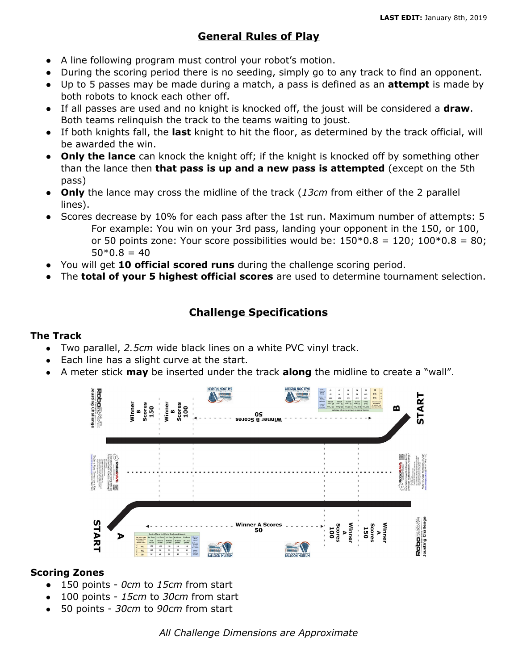### **General Rules of Play**

- A line following program must control your robot's motion.
- During the scoring period there is no seeding, simply go to any track to find an opponent.
- Up to 5 passes may be made during a match, a pass is defined as an **attempt** is made by both robots to knock each other off.
- If all passes are used and no knight is knocked off, the joust will be considered a **draw**. Both teams relinquish the track to the teams waiting to joust.
- If both knights fall, the **last** knight to hit the floor, as determined by the track official, will be awarded the win.
- **Only the lance** can knock the knight off; if the knight is knocked off by something other than the lance then **that pass is up and a new pass is attempted** (except on the 5th pass)
- **Only** the lance may cross the midline of the track (*13cm* from either of the 2 parallel lines).
- Scores decrease by 10% for each pass after the 1st run. Maximum number of attempts: 5 For example: You win on your 3rd pass, landing your opponent in the 150, or 100, or 50 points zone: Your score possibilities would be:  $150*0.8 = 120$ ;  $100*0.8 = 80$ ;  $50*0.8 = 40$
- You will get **10 official scored runs** during the challenge scoring period.
- The **total of your 5 highest official scores** are used to determine tournament selection.

# **Challenge Specifications**

#### **The Track**

- Two parallel, *2.5cm* wide black lines on a white PVC vinyl track.
- Each line has a slight curve at the start.
- A meter stick **may** be inserted under the track **along** the midline to create a "wall".



#### **Scoring Zones**

- 150 points *0cm* to *15cm* from start
- 100 points *15cm* to *30cm* from start
- 50 points *30cm* to *90cm* from start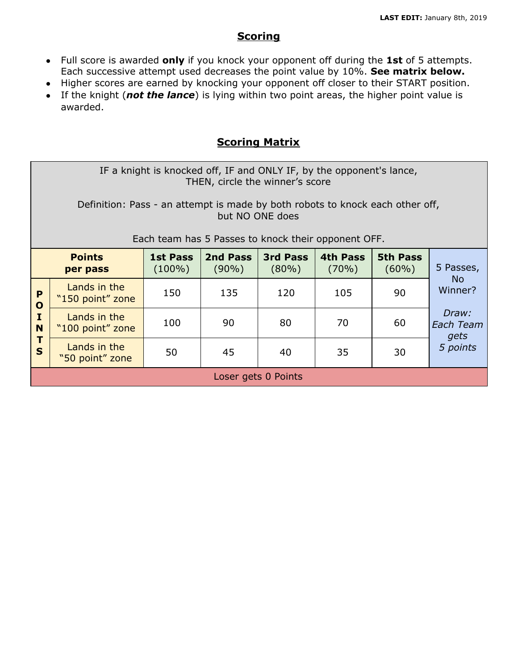### **Scoring**

- Full score is awarded **only** if you knock your opponent off during the **1st** of 5 attempts. Each successive attempt used decreases the point value by 10%. **See matrix below.**
- Higher scores are earned by knocking your opponent off closer to their START position.
- If the knight (*not the lance*) is lying within two point areas, the higher point value is awarded.

### **Scoring Matrix**

IF a knight is knocked off, IF and ONLY IF, by the opponent's lance, THEN, circle the winner's score

Definition: Pass - an attempt is made by both robots to knock each other off, but NO ONE does

Each team has 5 Passes to knock their opponent OFF.

| <b>Points</b><br>per pass                  |                                  | <b>1st Pass</b><br>$(100\%)$ | 2nd Pass<br>$(90\%)$ | <b>3rd Pass</b><br>$(80\%)$ | <b>4th Pass</b><br>$(70\%)$ | <b>5th Pass</b><br>$(60\%)$ | 5 Passes,                                                       |
|--------------------------------------------|----------------------------------|------------------------------|----------------------|-----------------------------|-----------------------------|-----------------------------|-----------------------------------------------------------------|
| P<br>$\mathbf{o}$<br>I<br>N<br>$\mathbf S$ | Lands in the<br>"150 point" zone | 150                          | 135                  | 120                         | 105                         | 90                          | No.<br>Winner?<br>Draw:<br><b>Each Team</b><br>gets<br>5 points |
|                                            | Lands in the<br>"100 point" zone | 100                          | 90                   | 80                          | 70                          | 60                          |                                                                 |
|                                            | Lands in the<br>"50 point" zone  | 50                           | 45                   | 40                          | 35                          | 30                          |                                                                 |
| Loser gets 0 Points                        |                                  |                              |                      |                             |                             |                             |                                                                 |